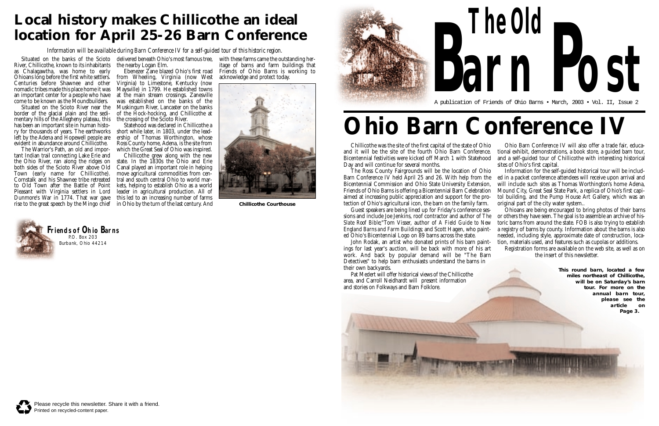Chillicothe was the site of the first capital of the state of Ohio and it will be the site of the fourth Ohio Barn Conference. Bicentennial festivities were kicked off March 1 with Statehood Day and will continue for several months. The Ross County Fairgrounds will be the location of Ohio

Guest speakers are being lined up for Friday's conference sessions and include Joe Jenkins, roof contractor and author of *The Slate Roof Bible*;"Tom Visser, author of *A Field Guide to New England Barns and Farm Buildings*; and Scott Hagen, who painted Ohio's Bicentennial Logo on 89 barns across the state.

John Rodak, an artist who donated prints of his barn paintings for last year's auction, will be back with more of his art work. And back by popular demand will be "The Barn Detectives" to help barn enthusiasts understand the barns in their own backyards.

Barn Conference IV held April 25 and 26. With help from the Bicentennial Commission and Ohio State University Extension, Friends of Ohio Barns is offering a Bicentennial Barn Celebration aimed at increasing public appreciation and support for the protection of Ohio's agricultural icon, the barn on the family farm. Information for the self-guided historical tour will be included in a packet conference attendees will receive upon arrival and will include such sites as Thomas Worthington's home Adena, Mound City, Great Seal State Park, a replica of Ohio's first capitol building, and the Pump House Art Gallery, which was an original part of the city water system..

Pat Medert will offer historical views of the Chillicothe area, and Carroll Neidhardt will present information and stories on Folkways and Barn Folklore.





Ohio Barn Conference IV will also offer a trade fair, educational exhibit, demonstrations, a book store, a guided barn tour, and a self-guided tour of Chillicothe with interesting historical sites of Ohio's first capital.

Situated on the banks of the Scioto - delivered beneath Ohio's most famous tree, - with these farms came the outstanding her-Ebenezer Zane blazed Ohio's first road

> Statehood was declared in Chillicothe a ership of Thomas Worthington, whose Ross County home, Adena, is the site from which the Great Seal of Ohio was inspired.

> > Ohioans are being encouraged to bring photos of their barns or others they have seen. The goal is to assemble an archive of historic barns from around the state. FOB is also trying to establish a registry of barns by county. Information about the barns is also needed, including style, approximate date of construction, location, materials used, and features such as cupolas or additions.

Registration forms are available on the web site, as well as on the insert of this newsletter.

**The Old**



A publication of Friends of Ohio Barns • March, 2003 • Vol. II, Issue 2

**Friends of Ohio Barns** P.O. Box 203 Burbank, Ohio 44214

## **Ohio Barn Conference IV**

River, Chillicothe, known to its inhabitants the nearby Logan Elm. as Chalagawtha, was home to early Ohioans long before the first white settlers. Centuries before Shawnee and other nomadic tribes made this place home it was Maysville) in 1799. He established towns an important center for a people who have come to be known as the Moundbuilders.

Situated on the Scioto River near the border of the glacial plain and the sedimentary hills of the Allegheny plateau, this has been an important site in human history for thousands of years. The earthworks short while later, in 1803, under the leadleft by the Adena and Hopewell people are evident in abundance around Chillicothe.

from Wheeling, Virginia (now West Virginia) to Limestone, Kentucky (now at the main stream crossings. Zanesville was established on the banks of the Muskingum River, Lancaster on the banks of the Hock-hocking, and Chillicothe at the crossing of the Scioto River.

The Warrior's Path, an old and important Indian trail connecting Lake Erie and the Ohio River, ran along the ridges on both sides of the Scioto River above Old Town (early name for Chillicothe). Cornstalk and his Shawnee tribe retreated to Old Town after the Battle of Point Pleasant with Virginia settlers in Lord Dunmore's War in 1774. That war gave this led to an increasing number of farms rise to the great speech by the Mingo chief in Ohio by the turn of the last century. And

Chillicothe grew along with the new state. In the 1830s the Ohio and Erie Canal played an important role in helping move agricultural commodities from central and south central Ohio to world markets, helping to establish Ohio as a world leader in agricultural production. All of

itage of barns and farm buildings that Friends of Ohio Barns is working to acknowledge and protect today.

### **Local history makes Chillicothe an ideal location for April 25-26 Barn Conference**

*Information will be available during Barn Conference IV for a self-guided tour of this historic region.*



**Chillicothe Courthouse**

**This round barn, located a few miles northeast of Chillicothe, will be on Saturday's barn tour. For more on the annual barn tour, please see the article on Page 3.**

**POST**